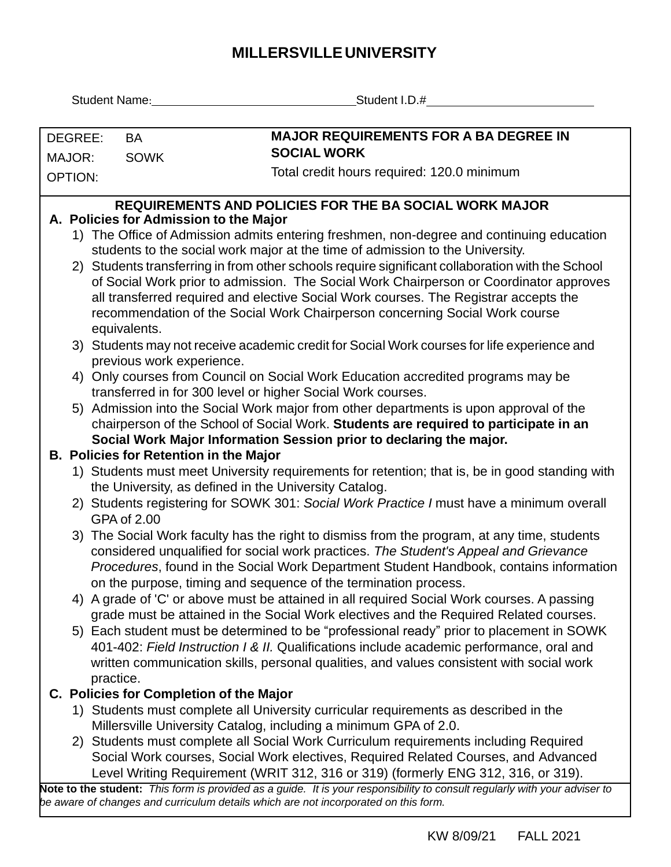## **MILLERSVILLEUNIVERSITY**

| Student Name: Victor                                                                                                                                                      |                                                                                                                      | Student I.D.#                                                                                                              |  |  |  |  |  |  |  |  |  |
|---------------------------------------------------------------------------------------------------------------------------------------------------------------------------|----------------------------------------------------------------------------------------------------------------------|----------------------------------------------------------------------------------------------------------------------------|--|--|--|--|--|--|--|--|--|
|                                                                                                                                                                           |                                                                                                                      |                                                                                                                            |  |  |  |  |  |  |  |  |  |
| DEGREE:                                                                                                                                                                   | <b>BA</b>                                                                                                            | <b>MAJOR REQUIREMENTS FOR A BA DEGREE IN</b><br><b>SOCIAL WORK</b>                                                         |  |  |  |  |  |  |  |  |  |
| MAJOR:<br><b>SOWK</b>                                                                                                                                                     |                                                                                                                      | Total credit hours required: 120.0 minimum                                                                                 |  |  |  |  |  |  |  |  |  |
| <b>OPTION:</b>                                                                                                                                                            |                                                                                                                      |                                                                                                                            |  |  |  |  |  |  |  |  |  |
| <b>REQUIREMENTS AND POLICIES FOR THE BA SOCIAL WORK MAJOR</b>                                                                                                             |                                                                                                                      |                                                                                                                            |  |  |  |  |  |  |  |  |  |
| A. Policies for Admission to the Major                                                                                                                                    |                                                                                                                      |                                                                                                                            |  |  |  |  |  |  |  |  |  |
| 1) The Office of Admission admits entering freshmen, non-degree and continuing education<br>students to the social work major at the time of admission to the University. |                                                                                                                      |                                                                                                                            |  |  |  |  |  |  |  |  |  |
|                                                                                                                                                                           |                                                                                                                      | 2) Students transferring in from other schools require significant collaboration with the School                           |  |  |  |  |  |  |  |  |  |
|                                                                                                                                                                           |                                                                                                                      | of Social Work prior to admission. The Social Work Chairperson or Coordinator approves                                     |  |  |  |  |  |  |  |  |  |
| all transferred required and elective Social Work courses. The Registrar accepts the                                                                                      |                                                                                                                      |                                                                                                                            |  |  |  |  |  |  |  |  |  |
| recommendation of the Social Work Chairperson concerning Social Work course                                                                                               |                                                                                                                      |                                                                                                                            |  |  |  |  |  |  |  |  |  |
| equivalents.                                                                                                                                                              |                                                                                                                      |                                                                                                                            |  |  |  |  |  |  |  |  |  |
| 3) Students may not receive academic credit for Social Work courses for life experience and                                                                               |                                                                                                                      |                                                                                                                            |  |  |  |  |  |  |  |  |  |
|                                                                                                                                                                           | previous work experience.                                                                                            |                                                                                                                            |  |  |  |  |  |  |  |  |  |
| 4) Only courses from Council on Social Work Education accredited programs may be                                                                                          |                                                                                                                      |                                                                                                                            |  |  |  |  |  |  |  |  |  |
|                                                                                                                                                                           |                                                                                                                      | transferred in for 300 level or higher Social Work courses.                                                                |  |  |  |  |  |  |  |  |  |
|                                                                                                                                                                           |                                                                                                                      | 5) Admission into the Social Work major from other departments is upon approval of the                                     |  |  |  |  |  |  |  |  |  |
|                                                                                                                                                                           |                                                                                                                      | chairperson of the School of Social Work. Students are required to participate in an                                       |  |  |  |  |  |  |  |  |  |
|                                                                                                                                                                           | Social Work Major Information Session prior to declaring the major.<br><b>B. Policies for Retention in the Major</b> |                                                                                                                            |  |  |  |  |  |  |  |  |  |
|                                                                                                                                                                           |                                                                                                                      | 1) Students must meet University requirements for retention; that is, be in good standing with                             |  |  |  |  |  |  |  |  |  |
|                                                                                                                                                                           | the University, as defined in the University Catalog.                                                                |                                                                                                                            |  |  |  |  |  |  |  |  |  |
|                                                                                                                                                                           |                                                                                                                      | 2) Students registering for SOWK 301: Social Work Practice I must have a minimum overall                                   |  |  |  |  |  |  |  |  |  |
|                                                                                                                                                                           | GPA of 2.00                                                                                                          |                                                                                                                            |  |  |  |  |  |  |  |  |  |
|                                                                                                                                                                           |                                                                                                                      | 3) The Social Work faculty has the right to dismiss from the program, at any time, students                                |  |  |  |  |  |  |  |  |  |
|                                                                                                                                                                           |                                                                                                                      | considered unqualified for social work practices. The Student's Appeal and Grievance                                       |  |  |  |  |  |  |  |  |  |
|                                                                                                                                                                           |                                                                                                                      | Procedures, found in the Social Work Department Student Handbook, contains information                                     |  |  |  |  |  |  |  |  |  |
|                                                                                                                                                                           |                                                                                                                      | on the purpose, timing and sequence of the termination process.                                                            |  |  |  |  |  |  |  |  |  |
|                                                                                                                                                                           |                                                                                                                      | 4) A grade of 'C' or above must be attained in all required Social Work courses. A passing                                 |  |  |  |  |  |  |  |  |  |
|                                                                                                                                                                           |                                                                                                                      | grade must be attained in the Social Work electives and the Required Related courses.                                      |  |  |  |  |  |  |  |  |  |
|                                                                                                                                                                           |                                                                                                                      | 5) Each student must be determined to be "professional ready" prior to placement in SOWK                                   |  |  |  |  |  |  |  |  |  |
|                                                                                                                                                                           |                                                                                                                      | 401-402: Field Instruction I & II. Qualifications include academic performance, oral and                                   |  |  |  |  |  |  |  |  |  |
|                                                                                                                                                                           |                                                                                                                      | written communication skills, personal qualities, and values consistent with social work                                   |  |  |  |  |  |  |  |  |  |
|                                                                                                                                                                           | practice.                                                                                                            | C. Policies for Completion of the Major                                                                                    |  |  |  |  |  |  |  |  |  |
|                                                                                                                                                                           |                                                                                                                      | 1) Students must complete all University curricular requirements as described in the                                       |  |  |  |  |  |  |  |  |  |
|                                                                                                                                                                           |                                                                                                                      | Millersville University Catalog, including a minimum GPA of 2.0.                                                           |  |  |  |  |  |  |  |  |  |
|                                                                                                                                                                           |                                                                                                                      | 2) Students must complete all Social Work Curriculum requirements including Required                                       |  |  |  |  |  |  |  |  |  |
|                                                                                                                                                                           |                                                                                                                      | Social Work courses, Social Work electives, Required Related Courses, and Advanced                                         |  |  |  |  |  |  |  |  |  |
|                                                                                                                                                                           |                                                                                                                      | Level Writing Requirement (WRIT 312, 316 or 319) (formerly ENG 312, 316, or 319).                                          |  |  |  |  |  |  |  |  |  |
|                                                                                                                                                                           |                                                                                                                      | Note to the student: This form is provided as a guide. It is your responsibility to consult regularly with your adviser to |  |  |  |  |  |  |  |  |  |
|                                                                                                                                                                           |                                                                                                                      | be aware of changes and curriculum details which are not incorporated on this form.                                        |  |  |  |  |  |  |  |  |  |